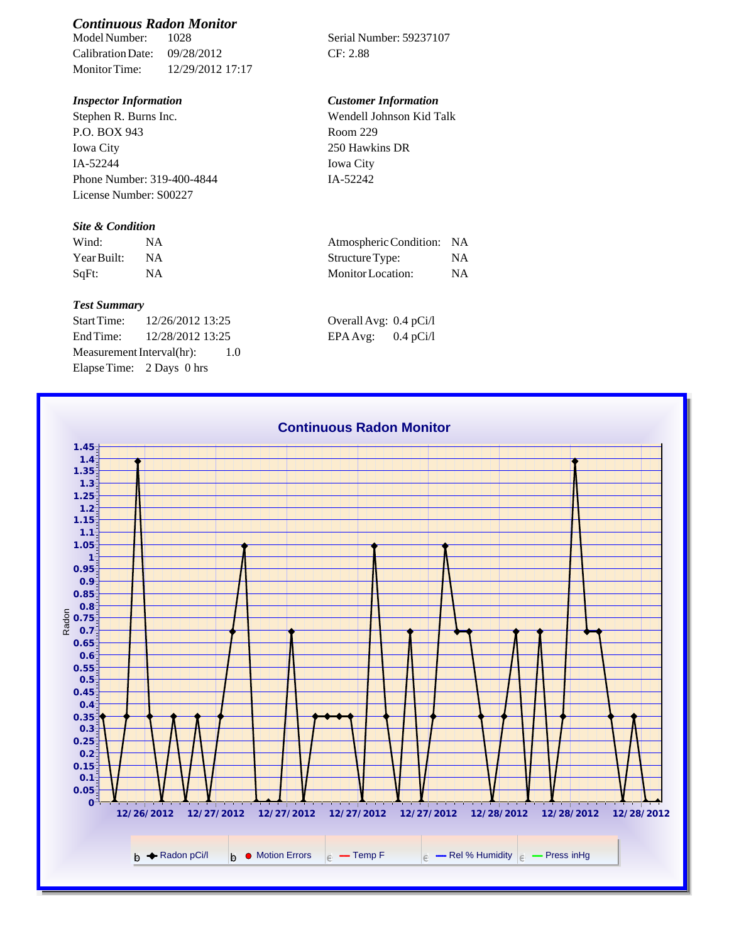# *Continuous Radon Monitor*

Calibration Date: 09/28/2012 CF: 2.88 Monitor Time: 12/29/2012 17:17

Stephen R. Burns Inc. P.O. BOX 943 Iowa City IA-52244 Phone Number: 319-400-4844 License Number: S00227

### *Site & Condition*

| Wind:       |           | Atmospheric Condition: NA |           |
|-------------|-----------|---------------------------|-----------|
| Year Built: | <b>NA</b> | Structure Type:           | NΑ        |
| SqFt:       |           | Monitor Location:         | <b>NA</b> |

#### *Test Summary*

Start Time: 12/26/2012 13:25 Overall Avg: 0.4 pCi/l End Time: 12/28/2012 13:25 EPA Avg: 0.4 pCi/l Measurement Interval(hr): 1.0 Elapse Time: 2 Days 0 hrs

Serial Number: 59237107

## *Inspector Information Customer Information*

Wendell Johnson Kid Talk Room 229 250 Hawkins DR Iowa City IA-52242

| Atmospheric Condition: | -NA       |
|------------------------|-----------|
| Structure Type:        | NA.       |
| Monitor Location:      | <b>NA</b> |

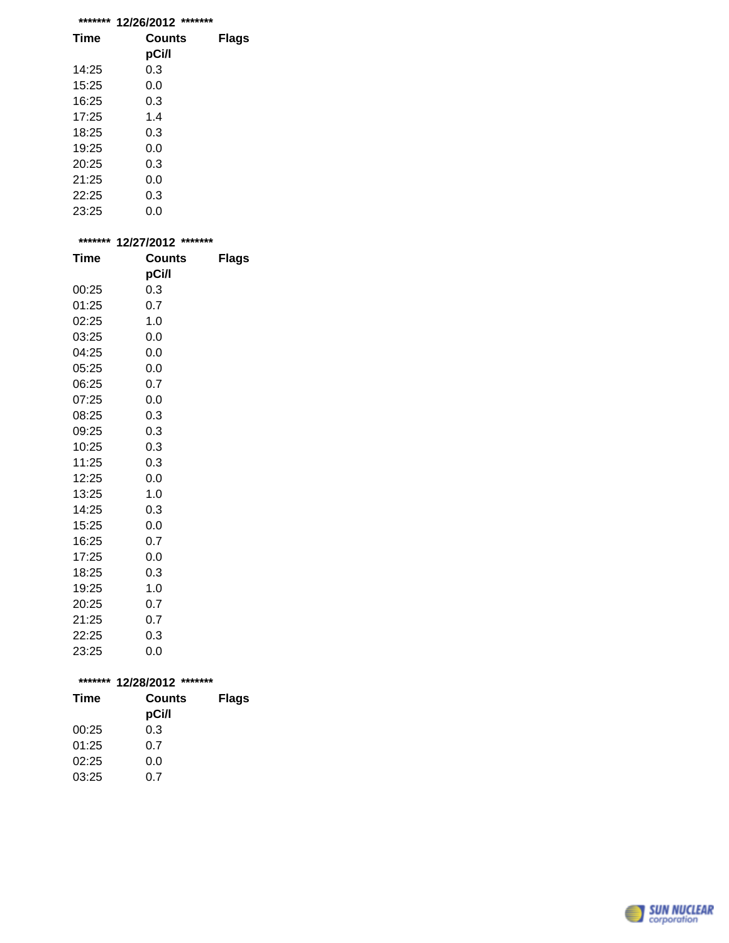| ******* | *******<br>12/26/2012 |       |
|---------|-----------------------|-------|
| Time    | Counts                | Flags |
|         | pCi/l                 |       |
| 14:25   | 0.3                   |       |
| 15:25   | 0.0                   |       |
| 16:25   | 0.3                   |       |
| 17:25   | 1.4                   |       |
| 18:25   | 0.3                   |       |
| 19:25   | 0.0                   |       |
| 20:25   | 0.3                   |       |
| 21:25   | 0.0                   |       |
| 22:25   | 0.3                   |       |
| 23:25   | 0.0                   |       |

| ******* | 12/27/2012    | ******* |  |
|---------|---------------|---------|--|
| Time    | <b>Counts</b> | Flags   |  |
|         | pCi/l         |         |  |
| 00:25   | 0.3           |         |  |
| 01:25   | 0.7           |         |  |
| 02:25   | 1.0           |         |  |
| 03:25   | 0.0           |         |  |
| 04:25   | 0.0           |         |  |
| 05:25   | 0.0           |         |  |
| 06:25   | 0.7           |         |  |
| 07:25   | 0.0           |         |  |
| 08:25   | 0.3           |         |  |
| 09:25   | 0.3           |         |  |
| 10:25   | 0.3           |         |  |
| 11:25   | 0.3           |         |  |
| 12:25   | 0.0           |         |  |
| 13:25   | 1.0           |         |  |
| 14:25   | 0.3           |         |  |
| 15:25   | 0.0           |         |  |
| 16:25   | 0.7           |         |  |
| 17:25   | 0.0           |         |  |
| 18:25   | 0.3           |         |  |
| 19:25   | 1.0           |         |  |
| 20:25   | 0.7           |         |  |
| 21:25   | 0.7           |         |  |
| 22:25   | 0.3           |         |  |

| ******* | 12/28/2012<br>******* |              |  |
|---------|-----------------------|--------------|--|
| Time    | Counts<br>pCi/l       | <b>Flags</b> |  |
| 00:25   | 0.3                   |              |  |
|         |                       |              |  |
| 01:25   | 0.7                   |              |  |
| 02:25   | 0.0                   |              |  |
| 03:25   | ი ⁊                   |              |  |

23:25 0.0